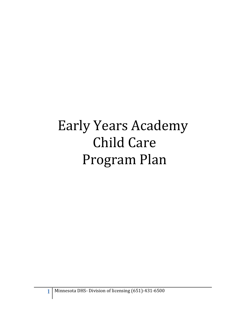# Early Years Academy **Child Care** Program Plan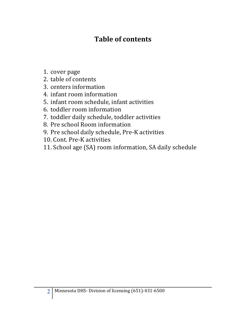# **Table of contents**

- 1. cover page
- 2. table of contents
- 3. centers information
- 4. infant room information
- 5. infant room schedule, infant activities
- 6. toddler room information
- 7. toddler daily schedule, toddler activities
- 8. Pre school Room information
- 9. Pre school daily schedule, Pre-K activities
- 10. Cont. Pre-K activities
- 11. School age (SA) room information, SA daily schedule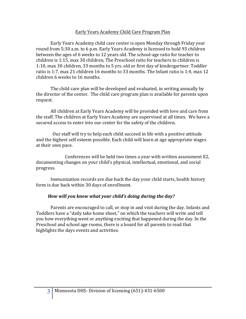#### Early Years Academy Child Care Program Plan

Early Years Academy child care center is open Monday through Friday year round from 5:30 a.m. to 6 p.m. Early Years Academy is licensed to hold 93 children between the ages of 6 weeks to 12 years old. The school-age ratio for teacher to children is  $1:15$ , max  $30$  children. The Preschool ratio for teachers to children is 1:10, max 30 children, 33 months to 5 yrs. old or first day of kindergartner. Toddler ratio is 1:7, max 21 children 16 months to 33 months. The Infant ratio is 1:4, max 12 children 6 weeks to 16 months.

The child care plan will be developed and evaluated, in writing annually by the director of the center. The child care program plan is available for parents upon request.

All children at Early Years Academy will be provided with love and care from the staff. The children at Early Years Academy are supervised at all times. We have a secured access to enter into our center for the safety of the children.

Our staff will try to help each child succeed in life with a positive attitude and the highest self esteem possible. Each child will learn at age appropriate stages at their own pace.

Conferences will be held two times a year with written assessment E2, documenting changes on your child's physical, intellectual, emotional, and social progress. 

Immunization records are due back the day your child starts, health history form is due back within 30 days of enrollment.

#### How will you know what your child's doing during the day?

Parents are encouraged to call, or stop in and visit during the day. Infants and Toddlers have a "daily take home sheet," on which the teachers will write and tell you how everything went or anything exciting that happened during the day. In the Preschool and school age rooms, there is a board for all parents to read that highlights the days events and activities.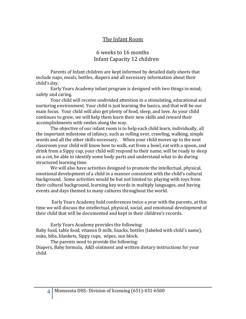# The Infant Room

# 6 weeks to 16 months Infant Capacity 12 children

Parents of Infant children are kept informed by detailed daily sheets that include naps, meals, bottles, diapers and all necessary information about their child's day.

Early Years Academy infant program is designed with two things in mind; safety and caring.

Your child will receive undivided attention in a stimulating, educational and nurturing environment. Your child is just learning the basics, and that will be our main focus. Your child will also get plenty of food, sleep, and love. As your child continues to grow, we will help them learn their new skills and reward their accomplishments with smiles along the way.

The objective of our infant room is to help each child learn, individually, all the important milestone of infancy, such as rolling over, crawling, walking, simple words and all the other skills necessary. When your child moves up to the next classroom your child will know how to walk, eat from a bowl, eat with a spoon, and drink from a Sippy cup, your child will respond to their name, will be ready to sleep on a cot, be able to identify some body parts and understand what to do during structured learning time.

We will also have activities designed to promote the intellectual, physical, emotional development of a child in a manner consistent with the child's cultural background. Some activities would be but not limited to: playing with toys from their cultural background, learning key words in multiply languages, and having events and days themed to many cultures throughout the world.

Early Years Academy hold conferences twice a year with the parents, at this time we will discuss the intellectual, physical, social, and emotional development of their child that will be documented and kept in their children's records.

Early Years Academy provides the following:

Baby food, table food, vitamin D milk, Snacks, bottles (labeled with child's name), nuks, bibs, blankets, Sippy cups, wipes, sun block.

The parents need to provide the following: Diapers, Baby formula, A&D ointment and written dietary instructions for your child.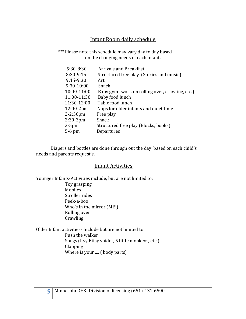# Infant Room daily schedule

\*\*\* Please note this schedule may vary day to day based on the changing needs of each infant.

| 5:30-8:30    | <b>Arrivals and Breakfast</b>                   |
|--------------|-------------------------------------------------|
| 8:30-9:15    | Structured free play (Stories and music)        |
| $9:15-9:30$  | Art                                             |
| 9:30-10:00   | Snack                                           |
| 10:00-11:00  | Baby gym (work on rolling over, crawling, etc.) |
| 11:00-11:30  | Baby food lunch                                 |
| 11:30-12:00  | Table food lunch                                |
| $12:00-2pm$  | Naps for older infants and quiet time           |
| $2 - 2:30pm$ | Free play                                       |
| $2:30-3$ pm  | Snack                                           |
| $3-5$ pm     | Structured free play (Blocks, books)            |
| $5-6$ pm     | Departures                                      |
|              |                                                 |

Diapers and bottles are done through out the day, based on each child's needs and parents request's.

#### **Infant Activities**

Younger Infants-Activities include, but are not limited to: Toy grasping Mobiles Stroller rides Peek-a-boo Who's in the mirror (ME!) Rolling over **Crawling** 

Older Infant activities- Include but are not limited to: Push the walker Songs (Itsy Bitsy spider, 5 little monkeys, etc.) Clapping Where is your .... ( body parts)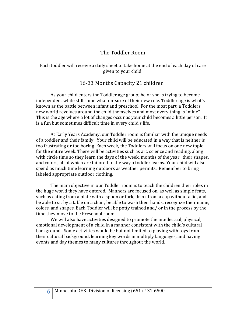# The Toddler Room

#### Each toddler will receive a daily sheet to take home at the end of each day of care given to your child.

# 16-33 Months Capacity 21 children

As your child enters the Toddler age group; he or she is trying to become independent while still some what un-sure of their new role. Toddler age is what's known as the battle between infant and preschool. For the most part, a Toddlers new world revolves around the child themselves and most every thing is "mine". This is the age where a lot of changes occur as your child becomes a little person. It is a fun but sometimes difficult time in every child's life.

At Early Years Academy, our Toddler room is familiar with the unique needs of a toddler and their family. Your child will be educated in a way that is neither is too frustrating or too boring. Each week, the Toddlers will focus on one new topic for the entire week. There will be activities such as art, science and reading, along with circle time so they learn the days of the week, months of the year, their shapes, and colors, all of which are tailored to the way a toddler learns. Your child will also spend as much time learning outdoors as weather permits. Remember to bring labeled appropriate outdoor clothing.

The main objective in our Toddler room is to teach the children their roles in the huge world they have entered. Manners are focused on, as well as simple feats, such as eating from a plate with a spoon or fork, drink from a cup without a lid, and be able to sit by a table on a chair, be able to wash their hands, recognize their name, colors, and shapes. Each Toddler will be potty trained and/ or in the process by the time they move to the Preschool room.

We will also have activities designed to promote the intellectual, physical, emotional development of a child in a manner consistent with the child's cultural background. Some activities would be but not limited to playing with toys from their cultural background, learning key words in multiply languages, and having events and day themes to many cultures throughout the world.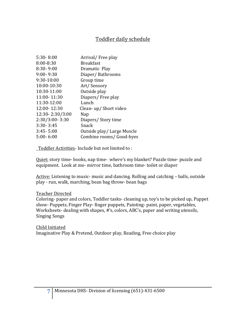# Toddler daily schedule

| $5:30 - 8:00$   | Arrival/Free play         |
|-----------------|---------------------------|
| 8:00-8:30       | <b>Breakfast</b>          |
| $8:30 - 9:00$   | Dramatic Play             |
| $9:00 - 9:30$   | Diaper/Bathrooms          |
| 9:30-10:00      | Group time                |
| 10:00-10:30     | Art/Sensory               |
| 10:30-11:00     | Outside play              |
| 11:00-11:30     | Diapers/Free play         |
| 11:30-12:00     | Lunch                     |
| 12:00-12:30     | Clean-up/Short video      |
| 12:30-2:30/3:00 | Nap                       |
| 2:30/3:00-3:30  | Diapers/Story time        |
| $3:30 - 3:45$   | Snack                     |
| $3:45 - 5:00$   | Outside play/Large Muscle |
| $5:00 - 6:00$   | Combine rooms/ Good-byes  |
|                 |                           |

Toddler Activities- Include but not limited to :

Quiet: story time- books, nap time- where's my blanket? Puzzle time- puzzle and equipment. Look at me- mirror time, bathroom time- toilet or diaper

Active: Listening to music- music and dancing. Rolling and catching - balls, outside play - run, walk, marching, bean bag throw- bean bags

#### Teacher Directed

Coloring- paper and colors, Toddler tasks- cleaning up, toy's to be picked up, Puppet show- Puppets, Finger Play- finger puppets, Painting- paint, paper, vegetables, Worksheets- dealing with shapes, #'s, colors, ABC's, paper and writing utensils, **Singing Songs** 

Child Initiated Imaginative Play & Pretend, Outdoor play, Reading, Free choice play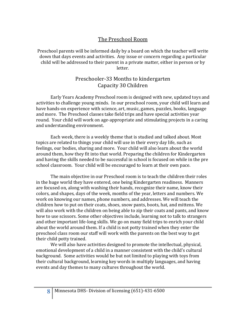# The Preschool Room

Preschool parents will be informed daily by a board on which the teacher will write down that days events and activities. Any issue or concern regarding a particular child will be addressed to their parent in a private matter, either in person or by letter.

# Preschooler-33 Months to kindergarten Capacity 30 Children

Early Years Academy Preschool room is designed with new, updated toys and activities to challenge young minds. In our preschool room, your child will learn and have hands-on experience with science, art, music, games, puzzles, books, language and more. The Preschool classes take field trips and have special activities year round. Your child will work on age-appropriate and stimulating projects in a caring and understanding environment.

Each week, there is a weekly theme that is studied and talked about. Most topics are related to things your child will use in their every day life, such as feelings, our bodies, sharing and more. Your child will also learn about the world around them, how they fit into that world. Preparing the children for Kindergarten and having the skills needed to be successful in school is focused on while in the pre school classroom. Your child will be encouraged to learn at their own pace.

The main objective in our Preschool room is to teach the children their roles in the huge world they have entered, one being Kindergarten readiness. Manners are focused on, along with washing their hands, recognize their name, know their colors, and shapes, days of the week, months of the year, letters and numbers. We work on knowing our names, phone numbers, and addresses. We will teach the children how to put on their coats, shoes, snow pants, boots, hat, and mittens. We will also work with the children on being able to zip their coats and pants, and know how to use scissors. Some other objectives include, learning not to talk to strangers and other important life-long skills. We go on many field trips to enrich your child about the world around them. If a child is not potty trained when they enter the preschool class room our staff will work with the parents on the best way to get their child potty trained.

We will also have activities designed to promote the intellectual, physical, emotional development of a child in a manner consistent with the child's cultural background. Some activities would be but not limited to playing with toys from their cultural background, learning key words in multiply languages, and having events and day themes to many cultures throughout the world.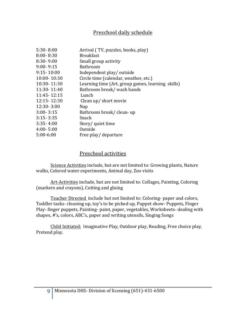# Preschool daily schedule

| $5:30 - 8:00$  | Arrival (TV, puzzles, books, play)                |
|----------------|---------------------------------------------------|
| $8:00 - 8:30$  | <b>Breakfast</b>                                  |
| $8:30 - 9:00$  | Small group activity                              |
| $9:00 - 9:15$  | Bathroom                                          |
| $9:15 - 10:00$ | Independent play/outside                          |
| 10:00-10:30    | Circle time (calendar, weather, etc.)             |
| 10:30-11:30    | Learning time (Art, group games, learning skills) |
| 11:30-11:40    | Bathroom break/ wash hands                        |
| 11:45 - 12:15  | Lunch                                             |
| 12:15 - 12:30  | Clean up/ short movie                             |
| 12:30-3:00     | Nap                                               |
| $3:00 - 3:15$  | Bathroom break/ clean-up                          |
| $3:15 - 3:35$  | Snack                                             |
| $3:35 - 4:00$  | Story/ quiet time                                 |
| $4:00 - 5:00$  | Outside                                           |
| $5:00-6:00$    | Free play/ departure                              |

# Preschool activities

Science Activities include, but are not limited to: Growing plants, Nature walks, Colored water experiments, Animal day, Zoo visits

Art-Activities include, but are not limited to: Collages, Painting, Coloring (markers and crayons), Cutting and gluing

Teacher Directed include but not limited to: Coloring- paper and colors, Toddler tasks- cleaning up, toy's to be picked up, Puppet show- Puppets, Finger Play- finger puppets, Painting- paint, paper, vegetables, Worksheets- dealing with shapes, #'s, colors, ABC's, paper and writing utensils, Singing Songs

Child Initiated: Imaginative Play, Outdoor play, Reading, Free choice play, Pretend play.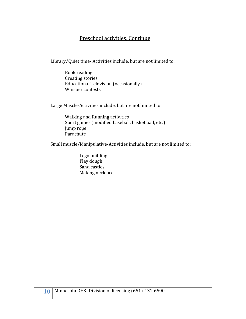# Preschool activities, Continue

Library/Quiet time- Activities include, but are not limited to:

Book reading Creating stories Educational Television (occasionally) Whisper contests

Large Muscle-Activities include, but are not limited to:

Walking and Running activities Sport games (modified baseball, basket ball, etc.) Jump rope Parachute

Small muscle/Manipulative-Activities include, but are not limited to:

Lego building Play dough Sand castles Making necklaces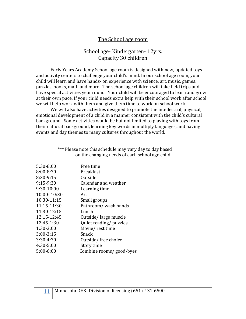# The School age room

# School age- Kindergarten- 12yrs. Capacity 30 children

Early Years Academy School age room is designed with new, updated toys and activity centers to challenge your child's mind. In our school age room, your child will learn and have hands- on experience with science, art, music, games, puzzles, books, math and more. The school age children will take field trips and have special activities year round. Your child will be encouraged to learn and grow at their own pace. If your child needs extra help with their school work after school we will help work with them and give them time to work on school work.

We will also have activities designed to promote the intellectual, physical, emotional development of a child in a manner consistent with the child's cultural background. Some activities would be but not limited to playing with toys from their cultural background, learning key words in multiply languages, and having events and day themes to many cultures throughout the world.

| *** Please note this schedule may vary day to day based |  |
|---------------------------------------------------------|--|
| on the changing needs of each school age child          |  |

| Free time               |
|-------------------------|
| <b>Breakfast</b>        |
| Outside                 |
| Calendar and weather    |
| Learning time           |
| Art                     |
| Small groups            |
| Bathroom/ wash hands    |
| Lunch                   |
| Outside/large muscle    |
| Quiet reading/ puzzles  |
| Movie/rest time         |
| Snack                   |
| Outside/free choice     |
| Story time              |
| Combine rooms/good-byes |
|                         |